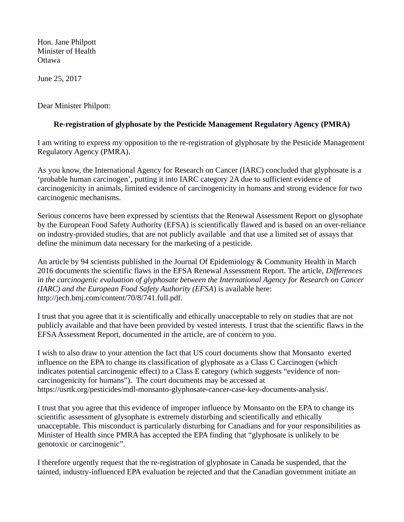Hon. Jane Philpott Minister of Health Ottawa

June 25, 2017

Dear Minister Philpott:

## **Re-registration of glyphosate by the Pesticide Management Regulatory Agency (PMRA)**

I am writing to express my opposition to the re-registration of glyphosate by the Pesticide Management Regulatory Agency (PMRA).

As you know, the International Agency for Research on Cancer (IARC) concluded that glyphosate is a 'probable human carcinogen', putting it into IARC category 2A due to sufficient evidence of carcinogenicity in animals, limited evidence of carcinogenicity in humans and strong evidence for two carcinogenic mechanisms.

Serious concerns have been expressed by scientists that the Renewal Assessment Report on glysophate by the European Food Safety Authority (EFSA) is scientifically flawed and is based on an over-reliance on industry-provided studies, that are not publicly available and that use a limited set of assays that define the minimum data necessary for the marketing of a pesticide.

An article by 94 scientists published in the Journal Of Epidemiology & Community Health in March 2016 documents the scientific flaws in the EFSA Renewal Assessment Report. The article, *Differences in the carcinogenic evaluation of glyphosate between the International Agency for Research on Cancer (IARC) and the European Food Safety Authority (EFSA*) is available here: http://jech.bmj.com/content/70/8/741.full.pdf.

I trust that you agree that it is scientifically and ethically unacceptable to rely on studies that are not publicly available and that have been provided by vested interests. I trust that the scientific flaws in the EFSA Assessment Report, documented in the article, are of concern to you.

I wish to also draw to your attention the fact that US court documents show that Monsanto exerted influence on the EPA to change its classification of glyphosate as a Class C Carcinogen (which indicates potential carcinogenic effect) to a Class E category (which suggests "evidence of noncarcinogenicity for humans"). The court documents may be accessed at https://usrtk.org/pesticides/mdl-monsanto-glyphosate-cancer-case-key-documents-analysis/.

I trust that you agree that this evidence of improper influence by Monsanto on the EPA to change its scientific assessment of glysophate is extremely disturbing and scientifically and ethically unacceptable. This misconduct is particularly disturbing for Canadians and for your responsibilities as Minister of Health since PMRA has accepted the EPA finding that "glyphosate is unlikely to be genotoxic or carcinogenic".

I therefore urgently request that the re-registration of glyphosate in Canada be suspended, that the tainted, industry-influenced EPA evaluation be rejected and that the Canadian government initiate an